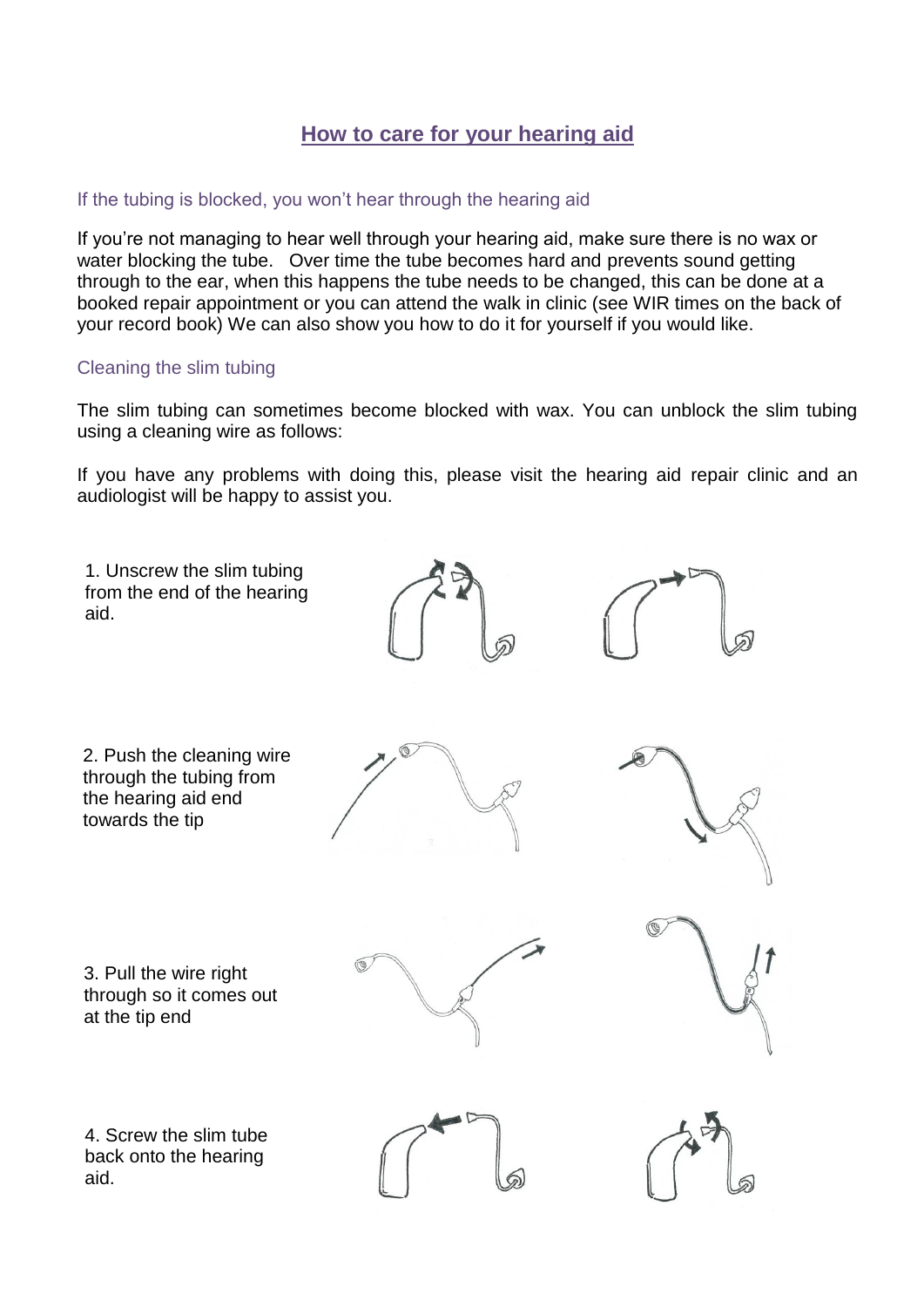## **How to care for your hearing aid**

## If the tubing is blocked, you won't hear through the hearing aid

If you're not managing to hear well through your hearing aid, make sure there is no wax or water blocking the tube. Over time the tube becomes hard and prevents sound getting through to the ear, when this happens the tube needs to be changed, this can be done at a booked repair appointment or you can attend the walk in clinic (see WIR times on the back of your record book) We can also show you how to do it for yourself if you would like.

#### Cleaning the slim tubing

The slim tubing can sometimes become blocked with wax. You can unblock the slim tubing using a cleaning wire as follows:

If you have any problems with doing this, please visit the hearing aid repair clinic and an audiologist will be happy to assist you.

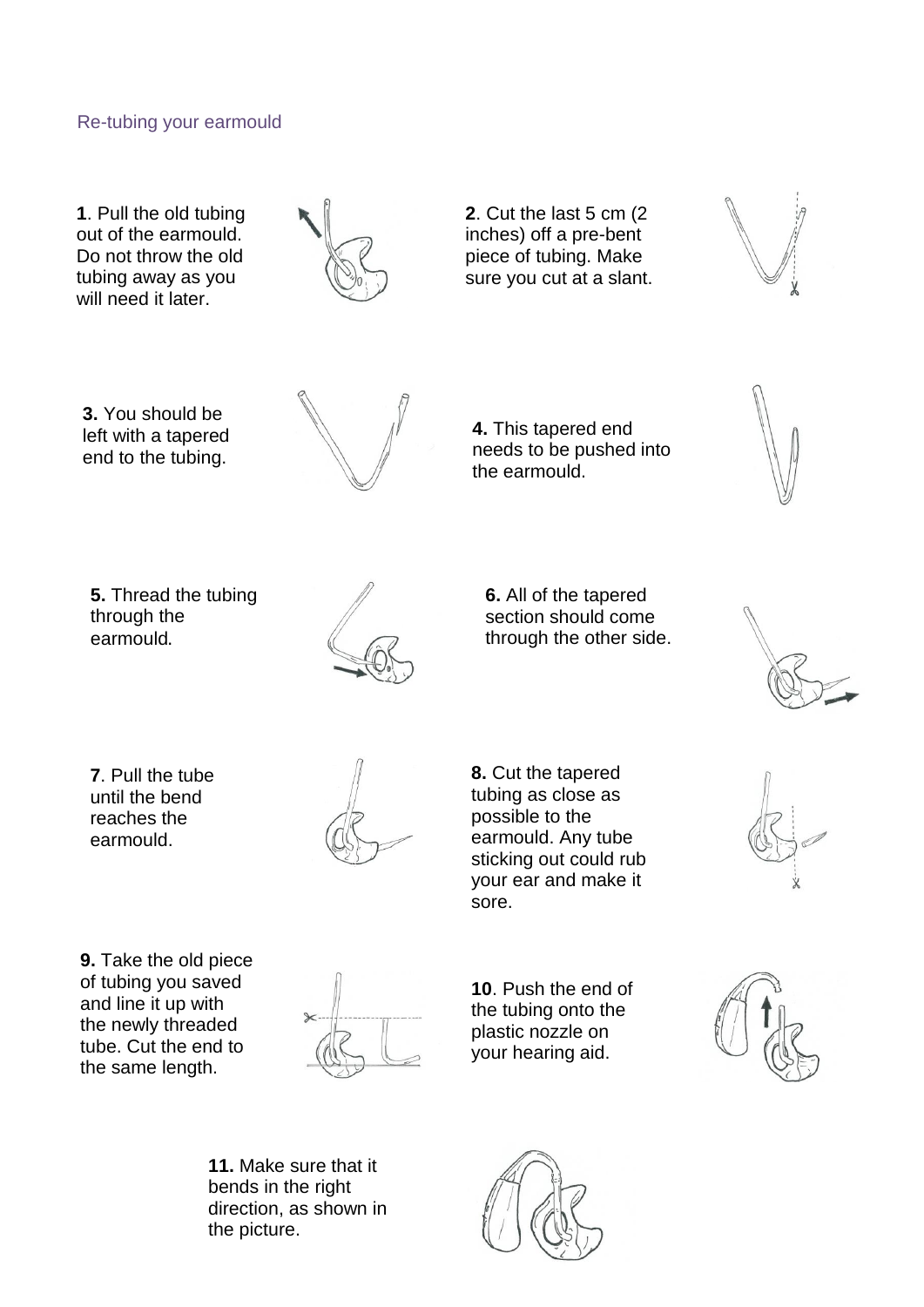#### Re-tubing your earmould

**1**. Pull the old tubing out of the earmould. Do not throw the old tubing away as you will need it later.



**2**. Cut the last 5 cm (2 inches) off a pre-bent piece of tubing. Make sure you cut at a slant.



**3.** You should be left with a tapered end to the tubing.



**4.** This tapered end needs to be pushed into the earmould.

**5.** Thread the tubing through the earmould.



**6.** All of the tapered section should come through the other side.



**7**. Pull the tube until the bend reaches the earmould.



**8.** Cut the tapered tubing as close as possible to the earmould. Any tube sticking out could rub your ear and make it sore.



**9.** Take the old piece of tubing you saved and line it up with the newly threaded tube. Cut the end to the same length.



**10**. Push the end of the tubing onto the plastic nozzle on your hearing aid.



**11.** Make sure that it bends in the right direction, as shown in the picture.

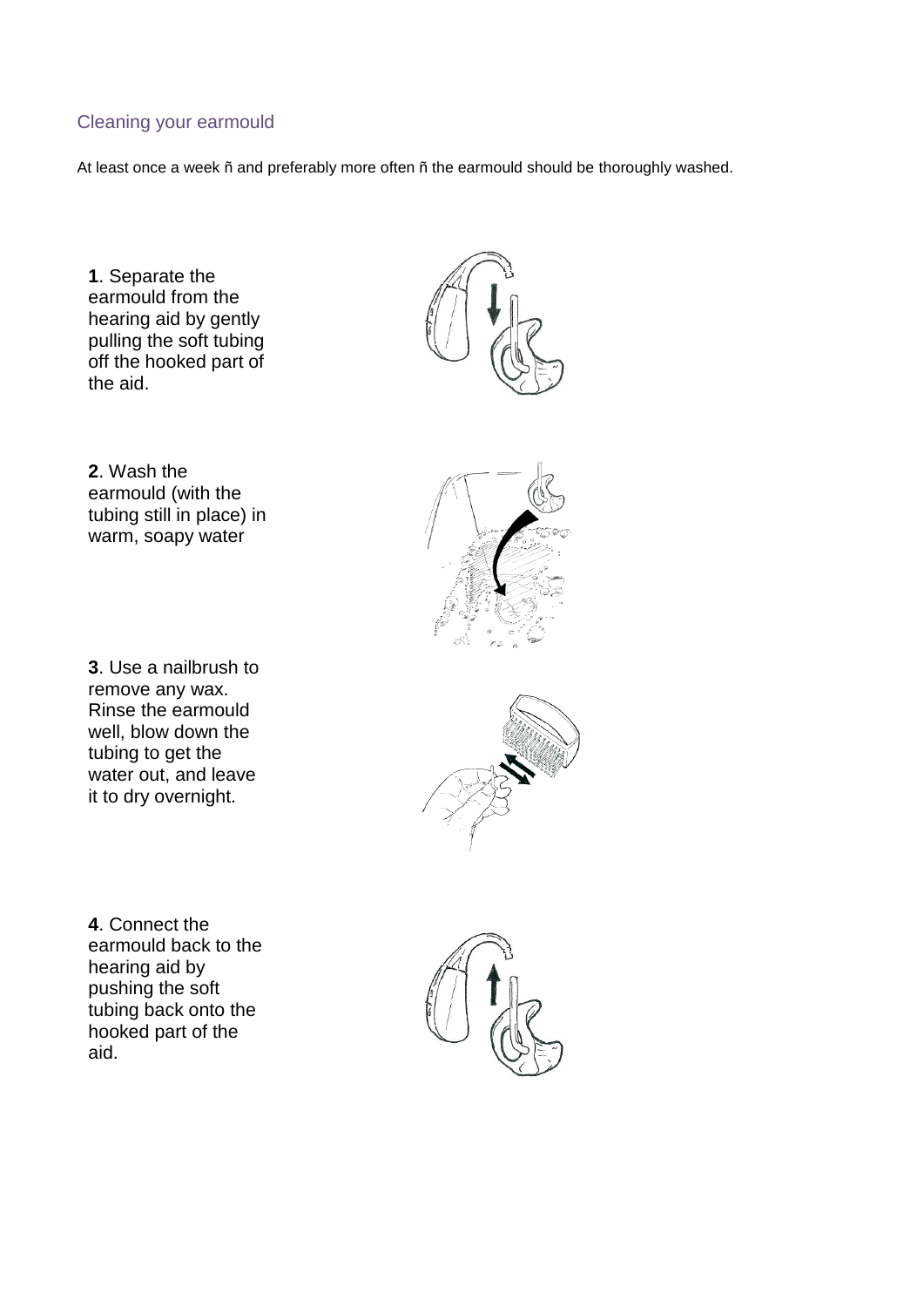#### Cleaning your earmould

At least once a week ñ and preferably more often ñ the earmould should be thoroughly washed.

**1**. Separate the earmould from the hearing aid by gently pulling the soft tubing off the hooked part of the aid.



**2**. Wash the earmould (with the tubing still in place) in warm, soapy water

**3**. Use a nailbrush to remove any wax. Rinse the earmould well, blow down the tubing to get the water out, and leave it to dry overnight.





**4**. Connect the earmould back to the hearing aid by pushing the soft tubing back onto the hooked part of the aid.

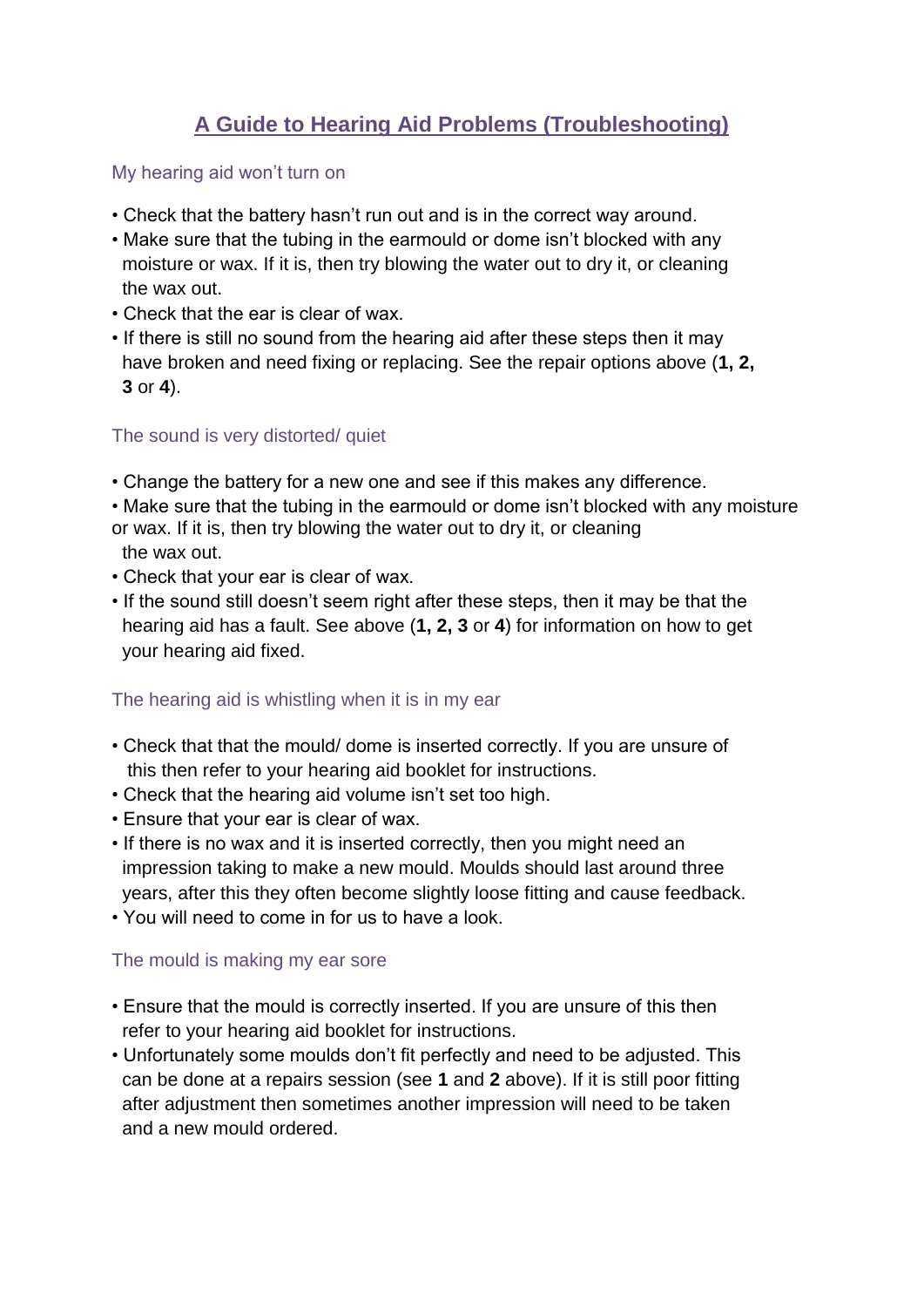# **A Guide to Hearing Aid Problems (Troubleshooting)**

#### My hearing aid won't turn on

- Check that the battery hasn't run out and is in the correct way around.
- Make sure that the tubing in the earmould or dome isn't blocked with any moisture or wax. If it is, then try blowing the water out to dry it, or cleaning the wax out.
- Check that the ear is clear of wax.
- If there is still no sound from the hearing aid after these steps then it may have broken and need fixing or replacing. See the repair options above (**1, 2, 3** or **4**).

#### The sound is very distorted/ quiet

- Change the battery for a new one and see if this makes any difference.
- Make sure that the tubing in the earmould or dome isn't blocked with any moisture or wax. If it is, then try blowing the water out to dry it, or cleaning the wax out.
- Check that your ear is clear of wax.
- If the sound still doesn't seem right after these steps, then it may be that the hearing aid has a fault. See above (**1, 2, 3** or **4**) for information on how to get your hearing aid fixed.

## The hearing aid is whistling when it is in my ear

- Check that that the mould/ dome is inserted correctly. If you are unsure of this then refer to your hearing aid booklet for instructions.
- Check that the hearing aid volume isn't set too high.
- Ensure that your ear is clear of wax.
- If there is no wax and it is inserted correctly, then you might need an impression taking to make a new mould. Moulds should last around three years, after this they often become slightly loose fitting and cause feedback.
- You will need to come in for us to have a look.

#### The mould is making my ear sore

- Ensure that the mould is correctly inserted. If you are unsure of this then refer to your hearing aid booklet for instructions.
- Unfortunately some moulds don't fit perfectly and need to be adjusted. This can be done at a repairs session (see **1** and **2** above). If it is still poor fitting after adjustment then sometimes another impression will need to be taken and a new mould ordered.